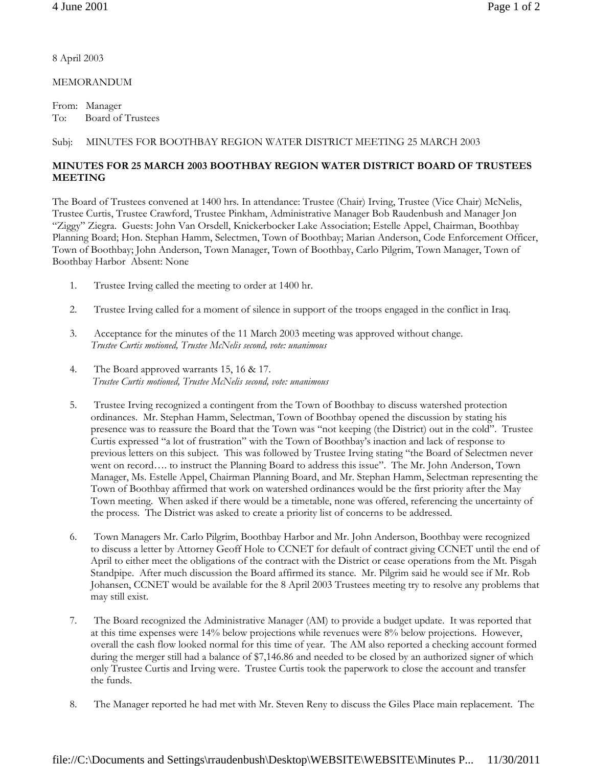8 April 2003

MEMORANDUM

From: Manager To: Board of Trustees

## Subj: MINUTES FOR BOOTHBAY REGION WATER DISTRICT MEETING 25 MARCH 2003

## **MINUTES FOR 25 MARCH 2003 BOOTHBAY REGION WATER DISTRICT BOARD OF TRUSTEES MEETING**

The Board of Trustees convened at 1400 hrs. In attendance: Trustee (Chair) Irving, Trustee (Vice Chair) McNelis, Trustee Curtis, Trustee Crawford, Trustee Pinkham, Administrative Manager Bob Raudenbush and Manager Jon "Ziggy" Ziegra. Guests: John Van Orsdell, Knickerbocker Lake Association; Estelle Appel, Chairman, Boothbay Planning Board; Hon. Stephan Hamm, Selectmen, Town of Boothbay; Marian Anderson, Code Enforcement Officer, Town of Boothbay; John Anderson, Town Manager, Town of Boothbay, Carlo Pilgrim, Town Manager, Town of Boothbay Harbor Absent: None

- 1. Trustee Irving called the meeting to order at 1400 hr.
- 2. Trustee Irving called for a moment of silence in support of the troops engaged in the conflict in Iraq.
- 3. Acceptance for the minutes of the 11 March 2003 meeting was approved without change. *Trustee Curtis motioned, Trustee McNelis second, vote: unanimous*
- 4. The Board approved warrants 15, 16 & 17. *Trustee Curtis motioned, Trustee McNelis second, vote: unanimous*
- 5. Trustee Irving recognized a contingent from the Town of Boothbay to discuss watershed protection ordinances. Mr. Stephan Hamm, Selectman, Town of Boothbay opened the discussion by stating his presence was to reassure the Board that the Town was "not keeping (the District) out in the cold". Trustee Curtis expressed "a lot of frustration" with the Town of Boothbay's inaction and lack of response to previous letters on this subject. This was followed by Trustee Irving stating "the Board of Selectmen never went on record…. to instruct the Planning Board to address this issue". The Mr. John Anderson, Town Manager, Ms. Estelle Appel, Chairman Planning Board, and Mr. Stephan Hamm, Selectman representing the Town of Boothbay affirmed that work on watershed ordinances would be the first priority after the May Town meeting. When asked if there would be a timetable, none was offered, referencing the uncertainty of the process. The District was asked to create a priority list of concerns to be addressed.
- 6. Town Managers Mr. Carlo Pilgrim, Boothbay Harbor and Mr. John Anderson, Boothbay were recognized to discuss a letter by Attorney Geoff Hole to CCNET for default of contract giving CCNET until the end of April to either meet the obligations of the contract with the District or cease operations from the Mt. Pisgah Standpipe. After much discussion the Board affirmed its stance. Mr. Pilgrim said he would see if Mr. Rob Johansen, CCNET would be available for the 8 April 2003 Trustees meeting try to resolve any problems that may still exist.
- 7. The Board recognized the Administrative Manager (AM) to provide a budget update. It was reported that at this time expenses were 14% below projections while revenues were 8% below projections. However, overall the cash flow looked normal for this time of year. The AM also reported a checking account formed during the merger still had a balance of \$7,146.86 and needed to be closed by an authorized signer of which only Trustee Curtis and Irving were. Trustee Curtis took the paperwork to close the account and transfer the funds.
- 8. The Manager reported he had met with Mr. Steven Reny to discuss the Giles Place main replacement. The